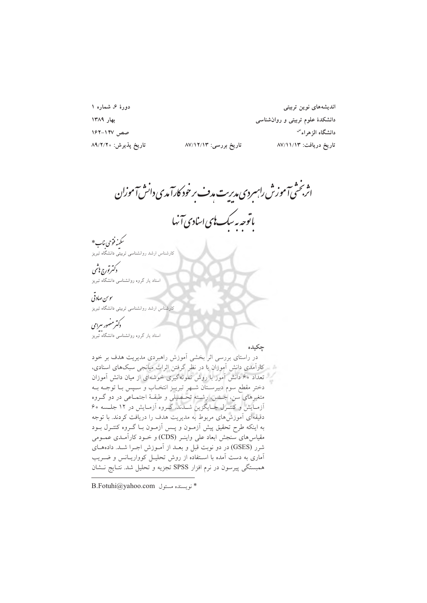دورهٔ ۶، شماره ۱ بهار ١٣٨٩ صص ١٤٧-١٤٢ تارىخ پذيرش: ٨٩/٢/٢٠

اندیشەهای نوین تربیتی دانشکدهٔ علوم تربیتی و روانشناسی دانشگاه الزهراء<sup>س</sup> تاريخ دريافت: ٨٧/١١/١٣

اثر بخشی آموزش راسردی مدیریت مدف بر خود کارآمدی دانش آموزان ماتوجە يەسك **ب**ىي اسادى آنها

تاریخ بررسی: ۸۷/۱۲/۱۳

ر<br>سکینه فتوحی بناب \* ۔<br>کارشناس ارشد روانشناسی تربیتی دانشگاه تبریز

كەتىرتورج بې<sup>شم</sup>ى ۔<br>استاد یار گروہ روانشناسی دانشگاہ تبریز

ىبوس صادقى كارشناس ارشد روانشناسي تربيتي دانشگاه تبريز

دکترمضور سرامی

••<br>استاد یار گروه روانشناسی دانشگاه تبریز

جكيده

در راستای بررسی اثر بخشی آموزش راهبردی مدیریت هدف بر خود کارآمدی دانش آموزان با در نظر گرفتن اثرات میانجی سبکهای اسنادی، تعداد ۶۰ دانش آموز با روش نمونهگیری خوشهای از میان دانش آموزان دختر مقطع سوم دبیرسـتان شــهر تبریــز انتخــاب و ســپس بــا توجــه بــه متغیرهای سن، جـنس، رشـته تحـصیلی و طبقـهٔ اجتمـاعی در دو گــروه آزمایش و کنتـرل جـایگزین شـدند. گـروه آزمـایش در ۱۲ جلـسه ۶۰ دقیقهای آموزش های مربوط به مدیریت هدف را دریافت کردند. با توجه به اینکه طرح تحقیق پیش آزمون و پس آزمون بـا گـروه کنتـرل بـود مقیاسهای سنجش ابعاد علی واینـر (CDS) و خــود کاراَمــدی عمــومی شرر (GSES) در دو نوبت قبل و بعـد از آمـوزش اجـرا شـد. دادههـاي آماری به دست آمده با استفاده از روش تحلیـل کوواریـانس و ضــریب همبستگی پیرسون در نرم افزار SPSS تجزیه و تحلیل شد. نتـایج نـشان

 $B.Fotuhi@yahoo.com$  نو ىسىندە مسئول  $*$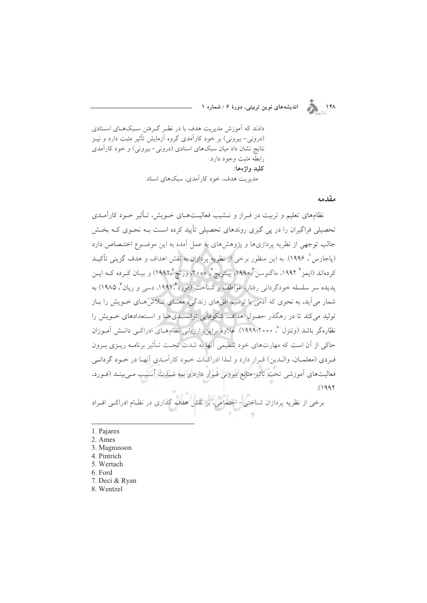اندیشههای نوین تربیتی، دورهٔ ۶ / شماره ۱



دادند که آموزش مدیریت هدف با در نظـر گـرفتن سـبکهـای اسـنادی (درونی– بیرونی) بر خود کارآمدی گروه آزمایش تأثیر مثبت دارد و نیـز نتایج نشان داد میان سبکهای اسنادی (درونی-بیرونی) و خود کارآمدی رابطه مثبت وجود دارد. کليد واژەها: مدر ت هدف، خود کار آمدی، سبکهای اسناد.

مقدمه

نظامهای تعلیم و تربیت در فـراز و نــشیب فعالیــتهــای خــویش، تــأثیر خــود کارآمــدی تحصیلی فراگیران را در پی گیری روندهای تحصیلی تأیید کرده است بـه نحـوی کـه بخـش جالب توجهی از نظریه پردازیها و پژوهشهای به عمل آمده به این موضـوع اختـصاص دارد (پاجارس ٰ، ۱۹۹۶). به این منظور برخی از نظریه پردازان به نقش اهداف و هدف گزینی تأکیـد كردهاند (ايمز " ١٩٩٢، ماگنوسن "،١٩٩٥، پينتريچ"، ٢٥٥٥، ورتيچ (١٩٩٢) و بيـان كـرده كـه ايـن یدیده سر سلسله خودگردانی رفتار، عواطف و شناخت (فورد ۱۹۹۱، دسی و ریان '، ۱۹۸۵) به شمار می آید، به نحوی که آدمی با ترسیم افقهای زندگی، معنـای تـلاش هـای خــویش را بــاز تولید میکند تا در رهگذر حصول اهداف، شکوفایی توانمندیها و استعدادهای خـویش را نظارهگر باشد (ونتزل ^، ١٩٩٩،٢٥٥٥). علاوه براین، ارزیابی نظامهــای ادراکــی دانــش آمــوزان حاکی از آن است که مهارتهای خود تنظیمی آنها به شدت تحت تـأثیر برنامـه ریـزی بـرون فيردي (معلميان، وإليدين) قبرار دارد و ليذا إدراكيات خيود كارآميدي أنهيا در خيود گرداني فعالیتهای آموزشی تحت تأثیر منابع بیرونی قـرار دارد و بــه شــدت آســیب مــی.بینــد (فــورد،  $(1997)$ 

برخی از نظریه پردازان شناختی – اجتماعی، بر نقش هدف گذاری در نظـام ادراکـی افـراد

- 1. Pajares
- 2. Ames
- 3. Magnusson
- 4. Pintrich
- 5. Wertach
- 6. Ford
- 7. Deci & Ryan
- 8. Wentzel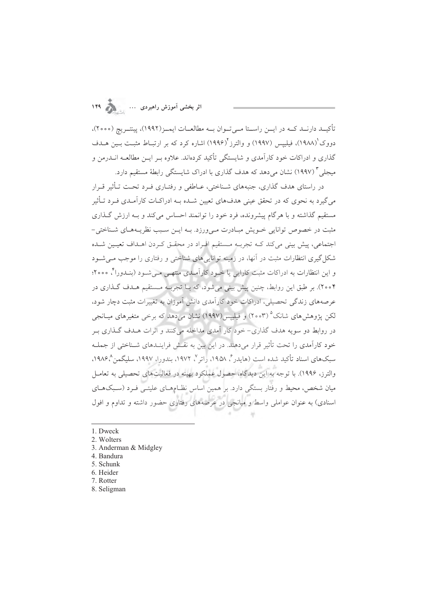## اثر بخشی آموزش راهبردی ...

تأكيــد دارنــد كــه در ايــن راســتا مــي تــوان بــه مطالعــات ايمــز (١٩٩٢)، پينتــر يج (٢٥٥٥)، دووک'(۱۹۸۸)، فیلیپس (۱۹۹۷) و والترز'(۱۹۹۶) اشاره کرد که بر ارتبـاط مثبـت بـین هــدف گذاری و ادراکات خود کارآمدی و شایستگی تأکید کردهاند. علاوه بـر ایـن مطالعـه انــدرمن و میجلی ۳ (۱۹۹۷) نشان می دهد که هدف گذاری با ادراک شایستگی رابطهٔ مستقیم دارد.

در راستای هدف گذاری، جنبههای شـناختی، عـاطفی و رفتـاری فـرد تحـت تـأثیر قـرار میگیرد به نحوی که در تحقق عینی هدفهای تعیین شـده بـه ادراکـات کارآمـدی فـرد تـأثیر مستقیم گذاشته و با هرگام پیشرونده، فرد خود را توانمند احساس می کند و بـه ارزش گـذاری مثبت در خصوص توانایی خـویش مبـادرت مـیورزد. بـه ایـن سـبب نظریـههـای شـناختی-اجتماعی، پیش بینی میکند کـه تجربـه مـستقیم افـراد در محقـق کـردن اهـداف تعیـین شـده شکل گیری انتظارات مثبت در آنها، در زمینه توانایی های شناختی و رفتاری را موجب مـی شـود و این انتظارات به ادراکات مثبت کارایی یا خـود کارآمـدی منتهـی مـی شـود (بنـدوراً، ٢٥٥٥؛ ۲۰۰۴). بر طبق این روابط، چنین پیش بینی میشود، که بـا تجربـه مـستقیم هـدف گـذاری در عرصههای زندگی تحصیلی، ادراکات خود کارآمدی دانش آموزان به تغییرات مثبت دچار شود، لکن پژوهشهای شانک° (۲۰۰۳) و فیلیپس(۱۹۹۷) نشان می،دهد که برخی متغیرهای میــانجی در روابط دو سویه هدف گذاری- خود کار آمدی مداخله می کنند و اثرات هـدف گـذاری بـر خود كارآمدي را تحت تأثير قرار مي دهند. در اين بين به نقش فراينـدهاي شـناختي از جملـه سبکهای اسناد تأکید شده است (هایدر مُ ۱۹۵۸، راتر <sup>۷</sup>، ۱۹۷۲، بندورا، ۱۹۹۷، سلیگمن<sup>م ۱</sup>۹۸۶، والترز، ۱۹۹۶). با توجه به این دیدگاه، حصول عملکرد بهینه در فعالیتهای تحصیلی به تعامـل میان شخص، محیط و رفتار بستگی دارد. بر همین اساس نظـامهـای علیتـی فـرد (سـبکهـای اسنادی) به عنوان عواملی واسط و میانجی در عرصههای رفتاری حضور داشته و تداوم و افول

- 7. Rotter
- 8. Seligman

<sup>1.</sup> Dweck

<sup>2.</sup> Wolters

<sup>3.</sup> Anderman & Midgley

<sup>4.</sup> Bandura

<sup>5.</sup> Schunk

<sup>6.</sup> Heider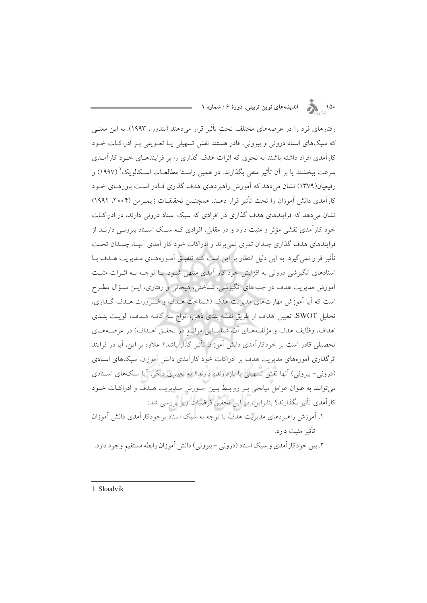.<br>۱۵۰ هـ الله المديشههای نوين تربيتی، دورهٔ ۶/شماره ۱

رفتارهای فرد را در عرصههای مختلف تحت تأثیر قرار می دهند (بندورا، ۱۹۹۳). به این معنـی که سبکهای اسناد درونی و بیرونی، قادر هستند نقش تسهیلی یـا تعـویقی بـر ادراکـات خـود کارآمدی افراد داشته باشند به نحوی که اثرات هدف گذاری را بر فرایندهـای خـود کارآمـدی سرعت ببخشند یا بر آن تأثیر منفی بگذارند. در همین راسـتا مطالعــات اســکالویک ْ (۱۹۹۷) و رفیعیان(۱۳۷۹) نشان می دهد که آموزش راهبردهای هدف گذاری قیادر است باورهبای خبود كارآمدي دانش آموزان را تحت تأثير قرار دهـد. همچنـين تحقيقــات زيمـرمن (٢٥٥۴، ١٩٩٢) نشان می دهد که فرایندهای هدف گذاری در افرادی که سبک اسناد درونی دارند، در ادراکیات خود کارآمدی نقشی مؤثر و مثبت دارد و در مقابل، افرادی کـه سـبک اسـناد بیرونـی دارنــد از فرایندهای هدف گذاری چندان ثمری نمی برند و ادراکات خود کار آمدی آنهـا، چنـدان تحـت تأثیر قرار نمی گیرد. به این دلیل انتظار بر این است کـه تلفیــق آمــوزههــای مــدیریت هــدف بــا اسنادهای انگیزشی درونی به افزایش خود کار آمدی منتهی شـود. بـا توجـه بـه اثـرات مثبـت آموزش مديريت هدف در جنبههاي انگيزشي، شناختي، هيجاني و رفتاري، ايـن سـؤال مطـرح است كه آيا آموزش مهارتهاي مديريت هدف (شـناخت هـدف و ضـرورت هـدف گـذاري، تحليل SWOT، تعيين اهداف از طريق نقشه بندي ذهن، انواع سه گانـه هـدف، الويـت بنـدي اهداف، وظايف هدف و مؤلفههاي أن، شناسايي موانع در تحقيق اهـداف) در عرصـههـاي تحصیلی قادر است بر خودکارآمدی دانش آموزان تأثیر گذار باشد؟ علاوه بر این، آیا در فرایند اثر گذاری آموزههای مدیریت هدف بر ادراکات خود کارآمدی دانش آموزان، سبکهای اسنادی (درونی– بیرونی) آنها نقش تسهیلی یا بازدارنده دارند؟ به تعبیری دیگر، آیا سبکهای اسـنادی می توانند به عنوان عوامل میانجی بـر روابـط بـین آمـوزش مـدیریت هـدف و ادراکـات خـود كارآمدي تأثير بگذارند؟ بنابراين، در اين تحقيق فرضيات زير بررسي شد: ۱. آموزش راهبردهای مدیریت هدف با توجه به سبک اسناد برخودکارآمدی دانش آموزان

تأثير مثبت دارد.

٢. بين خودكارآمدي و سبك اسناد (دروني –بيروني) دانش آموزان رابطه مستقيم وجود دارد.

1. Skaalvik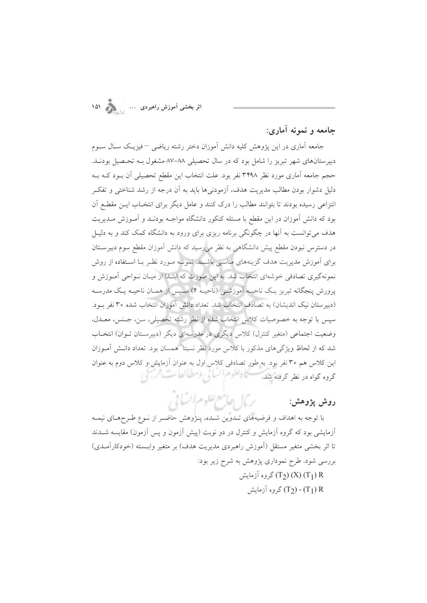حامعه و نمونه آماري:

جامعه آماری در این پژوهش کلیه دانش آموزان دختر رشته ریاضی – فیزیـک سـال ســوم دبیرستانهای شهر تبریز را شامل بود که در سال تحصیلی ۸۸–۸۷ مشغول بـه تحـصیل بودنـد. حجم جامعه آماری مورد نظر ۳۴۹۸ نفر بود. علت انتخاب این مقطع تحصیلی آن بـود کـه بـه دلیل دشوار بودن مطالب مدیریت هدف، آزمودنیها باید به آن درجه از رشد شناختی و تفکـر انتزاعی رسیده بودند تا بتوانند مطالب را درک کنند و عامل دیگر برای انتخـاب ایــن مقطـع آن بود که دانش آموزان در این مقطع با مسئله کنکور دانشگاه مواجـه بودنـد و آمـوزش مـدیریت هدف می توانست به آنها در چگونگی برنامه ریزی برای ورود به دانشگاه کمک کند و به دلیـل در دسترس نبودن مقطع پیش دانشگاهیی به نظر می رسید که دانش آموزان مقطع سوم دبیرسـتان برای آموزش مدیریت هدف گزینههای مناسبی باشـند. نمونــه مــورد نظــر بــا اســتفاده از روش نمونهگیری تصادفی خوشهای انتخاب شد. به این صورت که ابتـدا از میـان نــواحی اَمــوزش و پرورش پنجگانه تبریز یـک ناحیـه اَموزشـی (ناحیـه ۴) سـپس از همـان ناحیـه یـک مدرسـه (دبیرستان نیک اندیشان) به تصادف انتخاب شد. تعداد دانش آموزان انتخاب شده ۳۰ نفر بود. سيس با توجه به خصوصيات كلاس انتخاب شده از نظر رشته تحصيلي، سن، جـنس، معــدل، وضعیت اجتماعی (متغیر کنترل) کلاس دیگری در مدرسهای دیگر (دبیرسـتان تـوان) انتخـاب شد که از لحاظ ویژگی های مذکور با کلاس مورد نظر نسبتا" همسان بود. تعداد دانـش آمـوزان این کلاس هم ۳۰ نفر بود. به طور تصادفی کلاس اول به عنوان آزمایش و کلاس دوم به عنوان گروه گواه در نظر گرفته *شد. مسئ*ل<sup>66</sup>و مراسایی ومطالعات فرجی

روش پژوهش:

با توجه به اهداف و فرضیههای تـدوین شـده، پـژوهش حاضـر از نـوع طـرحهـای نیمـه آزمایشی بود که گروه آزمایش و کنترل در دو نوبت (پیش آزمون و پس آزمون) مقایسه شــدند تا اثر بخشی متغیر مستقل (آموزش راهبردی مدیریت هدف) بر متغیر وابسته (خودکارآمـدی) بررسی شود. طرح نموداری پژوهش به شرح زیر بود: روه آزمایش) (T2) (X) (T<sub>1</sub>) R  $(\mathrm{T}_1) \cdot (\mathrm{T}_2)$  گروه آزمایش

برمال جامع علوم السابي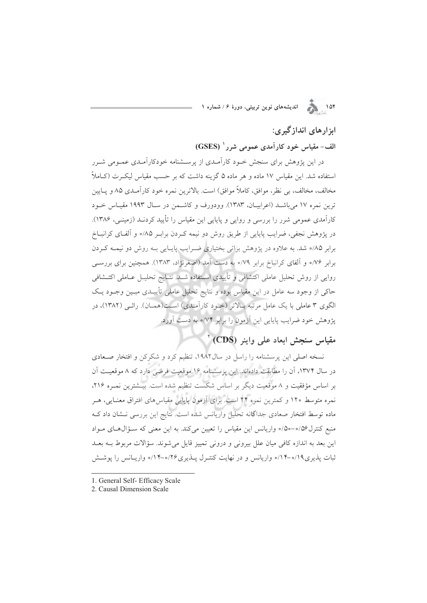### ایزار های انداز گیری:

#### الف- مقیاس خود کارآمدی عمومی شرر ' (GSES)

در این پژوهش برای سنجش خـود کارآمـدی از پرســشنامه خودکارآمـدی عمـومی شـرر استفاده شد. این مقیاس ۱۷ ماده و هر ماده ۵ گزینه داشت که بر حسب مقیاس لیک ت (کـاملاً مخالف، مخالف، بي نظر، موافق، كاملاً موافق) است. بالاترين نمره خود كارآمـدي ٨۵ و پــايين توين نموه ١٧ مي باشـد (اعرابيـان، ١٣٨٣). وودورف و كاشـمن در سـال ١٩٩٣ مقيـاس خـود کارآمدی عمومی شرر را بررسی و روایی و پایایی این مقیاس را تأیید کردنــد (زمینــی، ۱۳۸۶). در پژوهش نجفی، ضرایب پایایی از طریق روش دو نیمه کـردن برابـر ۸۵/۰ و آلفـای کرانبــاخ برابر ۸۵/۰ شد. به علاوه در پژوهش براتی بختیاری ضرایب پایایی بـه روش دو نیمـه کـردن برابر ۷۶% و آلفای کرانباخ برابر ۷۹% به دست آمد (اصغرنژاد، ۱۳۸۳). همچنین برای بررسبی روایی از روش تحلیل عاملی اکتشافی و تأییدی استفاده شــد. نتــایج تحلیــل عــاملی اکتــشافی حاکی از وجود سه عامل در این مقیاس بوده و نتایج تحلیل عاملی تأییـدی مبـین وجـود یـک الگوی ۳ عاملی با یک عامل مرتبه بـالاتر (خـود کارآمـدی) اســت(همــان). راثــی (۱۳۸۲)، در یژوهش خود ضرایب پایایی این آزمون را برابر ۷۴% به دست آورد.

### مقياس سنجش ابعاد على واينر (CDS)

نسخه اصلی این برسشنامه را راسل در سال۱۹۸۲، تنظیم کرد و شکرکن و افتخار صـعادی در سال ۱۳۷۴، آن را مطابقت دادهاند. این پرسشنامه ۱۶ موقعیت فرضی دارد که ۸ موقعیت آن بر اساس مؤفقیت و ۸ موقعیت دیگر بر اساس شکست تنظیم شده است. بیـشترین نمـره ۲۱۶، نمره متوسط ١٢٠ و كمترين نمره ٢۴ است. براي آزمون پايايي مقياس هاي افتراق معنـايي، هـر ماده توسط افتخار صعادی جداگانه تحلیل واریانس شده است. نتایج این بررسی نــشان داد کــه منبع کنترل%٥-٥/٥٠ واریانس این مقیاس را تعیین میکند. به این معنی که سـؤالهـای مـواد این بعد به اندازه کافی میان علل بیرونی و درونی تمییز قایل می شوند. سؤالات مربوط بــه بعــد ثبات پذیری ۱۹/ه-۱۴/ه واریانس و در نهایت کنتـرل پــذیری۲۶/ه-۱۴/ه واریــانس را پوشــش

1. General Self- Efficacy Scale

<sup>2.</sup> Causal Dimension Scale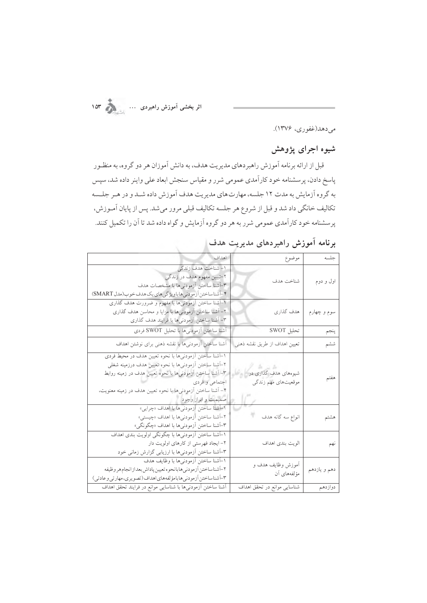اثر بخشی اَموزش راهبردی …<br>اثر بخشی اَموزش راهبردی

مىدهد(غفورى، ۱۳۷۶).

### شیوه اجرای پژوهش

قبل از ارائه برنامه آموزش راهبردهاي مديريت هدف، به دانش آموزان هر دو گروه، به منظـور پاسخ دادن، پرسشنامه خود کارآمدی عمومی شرر و مقیاس سنجش ابعاد علی واینر داده شد، سپس به گروه آزمایش به مدت ۱۲ جلسه، مهارت های مدیریت هدف آموزش داده شـد و در هـر جلـسه تکالیف خانگی داد شد و قبل از شروع هر جلسه تکالیف قبلی مرور میشد. پس از پایان آمـوزش، پرسشنامه خود کارآمدی عمومی شرر به هر دو گروه آزمایش و گواه داده شد تا آن را تکمیل کنند.

|  |  |  | برنامه آموزش راهبردهای مدیریت هدف |  |  |
|--|--|--|-----------------------------------|--|--|
|--|--|--|-----------------------------------|--|--|

| جلسه         | موضوع                                       | اهداف                                                                                                                                                                                                                                                                               |
|--------------|---------------------------------------------|-------------------------------------------------------------------------------------------------------------------------------------------------------------------------------------------------------------------------------------------------------------------------------------|
| اول و دوم    | شناخت هدف                                   | ١- شناخت هدف زندگي<br>۲-تبیین مفهوم هدف در زندگی<br>٣-أشنا ساختن أزمودنيها با مشخصات هدف<br>۴-آشناساختن آزمودني هاباويژگي هاي يک هدف خوب(مدل SMART)                                                                                                                                 |
| سوم و چهارم  | هدف گذاري                                   | ۱-أشنا ساختن أزمودني ها با مفهوم و ضرورت هدف گذاري<br>۲– أشنا ساختن أزمودنيها با مزايا و محاسن هدف گذاري<br>۳- آشنا ساختن أزمودنيها با فرايند هدف گذاري                                                                                                                             |
| ينجم         | تحليل SWOT                                  | آشنا ساختن أزمودنيها با تحليل SWOT فردي                                                                                                                                                                                                                                             |
| ششم          | تعیین اهداف از طریق نقشه ذهنی               | أشنا ساختن أزمودنىها با نقشه ذهنى براى نوشتن اهداف                                                                                                                                                                                                                                  |
| هفتم         | شیوههای هدف گذاری در<br>موقعیتهای مهم زندگی | ١-أشنا ساختن أزمودنيها با نحوه تعيين هدف در محيط فردي<br>٢–أشنا ساختن أزمودنيها با نحوه تعيين هدف درزمينه شغلي<br>٣– أشنا ساختن أزمودنىها با نحوه تعيين هدف در زمينه روابط<br>اجتماعي و فردي<br>۴– أشنا ساختن أزمودنيها با نحوه تعيين هدف در زمينه معنويت،<br>  صمیمیت و ابراز وجود |
| هشتم         | انواع سه گانه هدف                           | ۱-آشنا ساختن آزمودنیها با اهداف «چرایی»<br>٢-أشنا ساختن أزمودنيها با اهداف «چيستي»<br>٣-أشنا ساختن أزمودنيها با اهداف «چگونگي»                                                                                                                                                      |
| نهم          | الويت بندى اهداف                            | ۱-آشنا ساختن آزمودنیها با چگونگی اولویت بندی اهداف<br>۲- ایجاد فهرستی از کارهای اولویت دار<br>۳-أشنا ساختن أزمودنيها با ارزيابي گزارش زماني خود                                                                                                                                     |
| دهم و يازدهم | أموزش وظايف هدف و<br>مؤلفەهاى أن            | ١-أشنا ساختن أزمودنيها با وظايف هدف<br>٢-أشناساختن أزمودني هابانحوه تعيين پاداش بعداز انجام هر وظيفه<br>٣-أشناساختن أزمودني هابامؤلفههاي اهداف(تصويري،مهارتي وعادتي)                                                                                                                |
| دوازدهم      | شناسایی موانع در تحقق اهداف                 | أشنا ساختن أزمودنىها با شناسايى موانع در فرايند تحقق اهداف                                                                                                                                                                                                                          |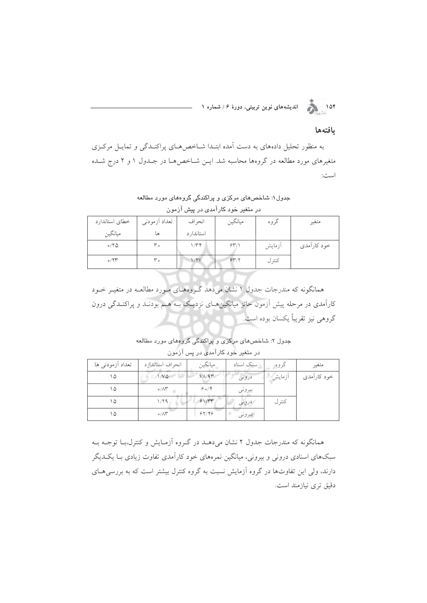۱۵۴ هجر از اندیشههای نوین تربیتی، دورهٔ ۶/شماره ۱

#### بافتهها

به منظور تحلیل دادههای به دست آمده ابتـدا شـاخصهای پراکنـدگی و تمایـل مرکـزی متغیرهای مورد مطالعه در گروهها محاسبه شد. ایـن شـاخصها در جـدول ۱ و ۲ درج شـده است:

جدول۱: شاخصهای مرکزی و پراکندگی گروههای مورد مطالعه

| خطاى استاندارد | تعداد أزمودني | انحراف     | ميانگين | گروه   | متغير       |
|----------------|---------------|------------|---------|--------|-------------|
| ميانگين        | ها            | استاندار د |         |        |             |
| 0/7Q           | ۳۰            | ۱٬۳۴       | 54/1    | أزمايش | خود كارآمدي |
| $\circ$ /۲۳    | ۳۰            | 1/Y        | 54/7    | كنتر ل |             |

در متغیر خود کارآمدی در پیش آزمون

همانگونه که مندرجات جدول ۱ نشان میدهد گـروههـای مـورد مطالعـه در متغیـر خـود کارآمدی در مرحله پیش آزمون حائز میانگینهـای نزدیـک بـه هـم بودنـد و پراکنـدگی درون گروهي نيز تقريباً يکسان بوده است.

جدول ۲: شاخصهای مرکزی و پراکندگی گروههای مورد مطالعه در م**تغ**یر خود کارآمد*ی* در پس آزمون

| تعداد آزمودني ها | انحراف استاندارد                 | ميانگين      | سبک اسناد | گر و ه | متغير       |
|------------------|----------------------------------|--------------|-----------|--------|-------------|
| ۱۵               | 1/VQ                             | $V/\sqrt{9}$ | درونى     | أزمايش | خود کارآمدی |
| ۱۵               | $\circ/\wedge\breve{\mathbf{r}}$ | 904          | بيروني    |        |             |
| ۱۵               | 1/79                             | 91/77        | درونی     | كنترل  |             |
| ۱۵               | $\circ/\wedge\breve{\mathbf{r}}$ | 99/99        | بيروني    |        |             |

همانگونه که مندرجات جدول ۲ نشان میدهـد در گـروه آزمـایش و کنترل،بـا توجـه بـه سبکهای اسنادی درونی و بیرونی، میانگین نمرههای خود کارآمدی تفاوت زیادی بــا یکــدیگر دارند، ولی این تفاوتها در گروه آزمایش نسبت به گروه کنترل بیشتر است که به بررسی هـای دقیق تری نیازمند است.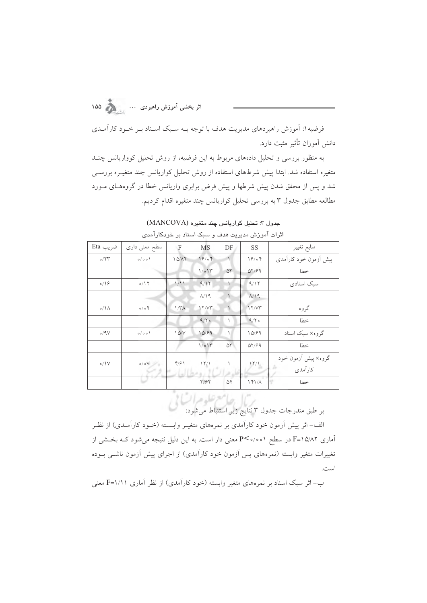فرضیه ۱: آموزش راهبردهای مدیریت هدف با توجه بـه سـبک اسـناد بـر خـود کارآمـدی دانش آموزان تأثير مثبت دارد.

به منظور بررسی و تحلیل دادههای مربوط به این فرضیه، از روش تحلیل کوواریانس چنـد متغیره استفاده شد. ابتدا پیش شرطهای استفاده از روش تحلیل کواریانس چند متغیـره بررسـی شد و پس از محقق شدن پیش شرطها و پیش فرض برابری واریانس خطا در گروههای مـورد مطالعه مطابق جدول ۳ به بررسی تحلیل کواریانس چند متغیره اقدام کردیم.

| اثرات آموزش مدیریت هدف و سبک اسناد بر خودکارآمدی |                 |                  |                    |            |                       |                       |
|--------------------------------------------------|-----------------|------------------|--------------------|------------|-----------------------|-----------------------|
| ضريب Eta                                         | سطح معنی داری   | F                | <b>MS</b>          | DF         | <b>SS</b>             | منابع تغيير           |
| $\circ/77$                                       | 0/00            | 1Q/AT            | 19/04              | $\sqrt{2}$ | 19/04                 | پیش أزمون خود كارآمدى |
|                                                  |                 |                  | $1/\circ 11^\circ$ | $\Delta Y$ | $\Delta Y/\partial Q$ | خطا                   |
| $\circ/19$                                       | 0/17            | 1/11             | 9/17               |            | 9/17                  | سىك اسنادى            |
|                                                  |                 |                  | $A/\Omega$         |            | A/19                  |                       |
| $o/\Lambda$                                      | $\rho_o / o$    | 1/T <sub>A</sub> | 17/yr              |            | 11/VT                 | گروه                  |
|                                                  |                 |                  | 9/7                |            | 9/7                   | خطا                   |
| 0/9V                                             | 0/00            | 1Q/V             | 10/99              |            | 10/99                 | گروه× سبک اسناد       |
|                                                  |                 |                  | 1/e15              | $\Delta Y$ | $QY/\varphi q$        | خطا                   |
| o/IV                                             | $\circ/\circ V$ | $Y/\gamma$       | 17/1               |            |                       | گروه× پیش آزمون خود   |
|                                                  |                 |                  |                    |            | 17/1                  | كارآمدى               |
|                                                  |                 |                  | Y/9Y               | $\Delta f$ | 141/A                 | خطا                   |

جدول ٣: تحليل كواريانس چند متغيره (MANCOVA)

.<br>بر طبق مندرجات جدول ۳ نتایج زیر استنباط میشود:

الف– اثر پیش اَزمون خود کاراَمدی بر نمرههای متغیــر وابـــسته (خــود کاراَمــدی) از نظــر .<br>آماری ۲×/۱۵ I=F در سطح ۱۰۰۱°-P معنی دار است. به این دلیل نتیجه میشود کــه بخــشی از تغییرات متغیر وابسته (نمرههای پس آزمون خود کارآمدی) از اجرای پیش آزمون ناشبی بــوده است.

ب– اثر سبک اسناد بر نمرههای متغیر وابسته (خود کارآمدی) از نظر آماری ۱/۱۱=F معنی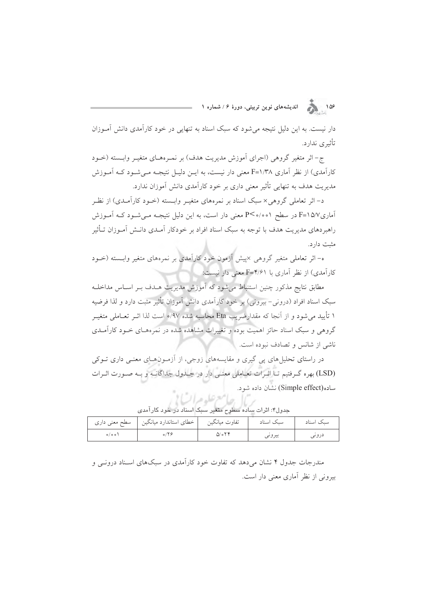۱۵۶ هجر از الندیشههای نوین تربیتی، دورهٔ ۶/ شماره ۱

دار نیست. به این دلیل نتیجه می شود که سبک اسناد به تنهایی در خود کارآمدی دانش آمـوزان تأثيري ندارد.

ج- اثر متغیر گروهی (اجرای آموزش مدیریت هدف) بر نمـرههـای متغیـر وابـسته (خـود کارآمدی) از نظر آماری F=۱/۳۸ هغنی دار نیست، به ایــن دلیــل نتیجــه مــی شــود کــه آمــوزش مدیریت هدف به تنهایی تأثیر معنی داری بر خود کارآمدی دانش آموزان ندارد.

د- اثر تعاملی گروهی× سبک اسناد بر نمرههای متغیـر وابــسته (خــود کارآمــدی) از نظــر آماری8/V F=۱۵/۷ در سطح ۵/۰/۰ P<۰/۰ معنی دار است، به این دلیل نتیجـه مـی شـود کـه آمـوزش راهبردهای مدیریت هدف با توجه به سبک اسناد افراد بر خودکار آمـدی دانـش آمـوزان تـأثیر مثبت دارد.

ه– اثر تعاملی متغیر گروهی ×ییش آزمون خود کارآمدی بر نمرههای متغیر وابسته (خـود کارآمدی) از نظر آماری با F=۴/۶۱ معنی دار نیست:

مطابق نتايج مذكور چنين استنباط مى شود كه أموزش مديريت هــدف بــر اســاس مداخلــه سبک اسناد افراد (درونی–بیرونی) بر خود کارآمدی دانش آموزان تأثیر مثبت دارد و لذا فرضیه ۱ تأیید می شود و از آنجا که مقدارضریب Eta محاسبه شده ۹۷/ه است لذا اثــر تعــاملی متغیــر گروهی و سبک اسناد حائز اهمیت بوده و تغییرات مشاهده شده در نمرههـای خـود کارآمـدی ناشی از شانس و تصادف نبوده است.

در راستای تحلیل های پی گیری و مقایسههای زوجی، از آزمـون هـای معنـی داری تـوکی (LSD) بهره گـرفتيم تـا اثـرات تعـاملي معنـي دار در جـلدول جداگانـه و بـه صـورت اثـرات ساده (Simple effect) نشان داده شود.

|                       | خطای استاندارد میانگین     سطح معنی داری | تفاوت ميانگين  | سىك اسناد | سىك اسناد |
|-----------------------|------------------------------------------|----------------|-----------|-----------|
| $\circ / \circ \circ$ |                                          | $Q_0$ or $Y_0$ | بيروىي    | دروىى     |

عامع علوم اتيا إ .<br>جدول۴: اثرات ساده سطوح متغیر سبک اسناد در خود کارآمد*ی* 

مندرجات جدول ۴ نشان می دهد که تفاوت خود کارآمدی در سبکهای اسـناد درونــی و بیرونی از نظر آماری معنی دار است.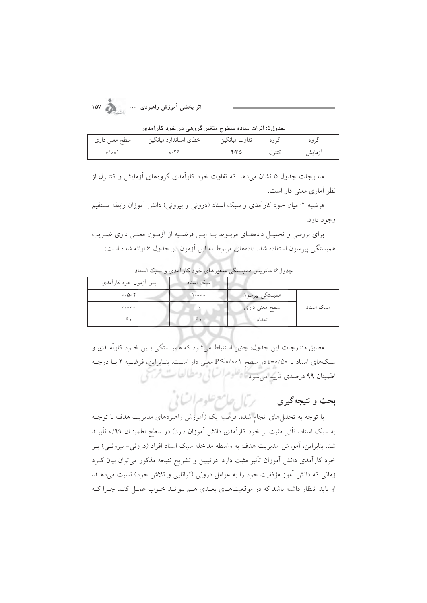| سطح معنی داری         | خطاي استاندارد ميانگين       | تفاوت ميانگين | د ه ه  |         |
|-----------------------|------------------------------|---------------|--------|---------|
| $\circ / \circ \circ$ | $\circ$ / $\upgamma$ $\circ$ |               | کنتہ ل | ازمايشر |

جدول»: اثرات ساده سطوح متغیر گروهے در خود کارآمدی

مندرجات جدول ۵ نشان می دهد که تفاوت خود کارآمدی گروههای آزمایش و کنتـرل از نظر آماری معنی دار است.

فرضیه ۲: میان خود کارآمدی و سبک اسناد (درونی و بیرونی) دانش آموزان رابطه مستقیم وجود دارد.

برای بررسی و تحلیـل دادههـای مربـوط بـه ایـن فرضـیه از آزمـون معنـی داری ضـریب همبستگی پیرسون استفاده شد. دادههای مربوط به این آزمون در جدول ۶ ارائه شده است:

| پس اَزمون خود کارآمدی | سبک اسناد    |                |           |
|-----------------------|--------------|----------------|-----------|
| $0/\Delta o$          | <b>\/ooo</b> | همبستگي پيرسون |           |
| $o/o$ $o$ $o$         |              | سطح معنی داری  | سبک اسناد |
| ه ۶                   | ه ۶          | تعداد          |           |

جدول۶: ماتریس همبستگی متغیرهای خود کارآمدی و سیک اسناد

مطابق مندرجات این جدول، چنین استنباط می شود که همبـستگی بـین خـود کارآمـدی و سبکهای اسناد با 70⁄0=r در سطح 100⁄0>P معنی دار است. بنـابراین، فرضـیه ۲ بـا درجـه اطعينان ٩٩ درصدي تأييد مي شود. أي تعلوم السائي ومطالعات فرسي

# بعث و نتيجه كيرى مستخر كال طريع علوم السالي

با توجه به تحلیلهای انجام شده، فرضیه یک (آموزش راهبردهای مدیریت هدف با توجـه به سبک اسناد، تأثیر مثبت بر خود کارآمدی دانش آموزان دارد) در سطح اطمینــان ۹۹/ه تأییــد شد. بنابراین، آموزش مدیریت هدف به واسطه مداخله سبک اسناد افراد (درونی– بیرونـی) بـر خود کارآمدی دانش آموزان تأثیر مثبت دارد. درتبیین و تشریح نتیجه مذکور میتوان بیان کـرد زمانی که دانش آموز مؤفقیت خود را به عوامل درونی (توانایی و تلاش خود) نسبت میدهـد، او باید انتظار داشته باشد که در موقعیتهـای بعـدی هـم بتوانـد خـوب عمـل کنـد چـرا کـه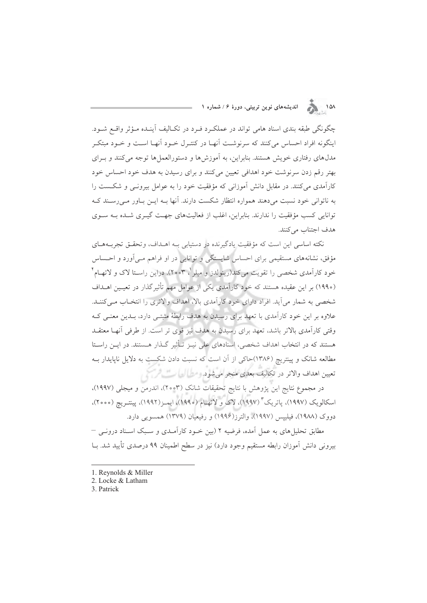۱۵۸ هجري انديشههاي نوين تربيتي، دورهٔ ۶/شماره ۱

چگونگی طبقه بندی اسناد هامی تواند در عملکرد فـرد در تکـالیف آینـده مـؤثر واقــع شــود. اینگونه افراد احساس میکنند که سرنوشت آنهـا در کنتـرل خـود آنهـا اسـت و خـود مبتکـر مدل،های رفتاری خویش هستند. بنابراین، به آموزشها و دستورالعملها توجه میکنند و بـرای بهتر رقم زدن سرنوشت خود اهدافي تعيين مي كنند و براي رسيدن به هدف خود احساس خود کارآمدی می کنند. در مقابل دانش آموزانی که مؤفقیت خود را به عوامل بیرونـی و شکـست را به ناتوانی خود نسبت می دهند همواره انتظار شکست دارند. آنها بـه ایــن بـاور مــی رســند کــه توانایی کسب مؤفقیت را ندارند. بنابراین، اغلب از فعالیتهای جهت گیـری شـده بـه سـوی هدف اجتناب مي كنند.

نكته اساسي اين است كه مؤفقيت يادگيرنده در دستيابي بـه اهــداف، وتحقــق تجربــههـاي مؤفق، نشانههای مستقیمی برای احساس شایستگی و توانایی در او فراهم مـی|ورد و احــساس خود کارآمدی شخصی را تقویت می کند(رینولدز و میلر <sup>۱</sup>، ۲۰۰۳). دراین راسـتا لاک و لاتهـام <sup>۲</sup> (١٩٩٠) بر این عقیده هستند که خود کارآمدی یکی از عوامل مهم تأثیر گذار در تعیین اهـداف شخصی به شمار می آید. افراد دارای خود کارآمدی بالا، اهداف والاتری را انتخـاب مـی کننـد. علاوه بر این خود کارآمدی با تعهد برای رسیدن به هدف رابطهٔ مثبتی دارد، بـدین معنـی کـه وقتی کارآمدی بالاتر باشد، تعهد برای رسیدن به هدف نیز قوی تر است. از طرفی آنها معتقـد هستند که در انتخاب اهداف شخصی، اسنادهای علی نیـز تـأثیر گـذار هـستند. در ایـن راسـتا مطالعه شانک و پینتریچ (۱۳۸۶)حاکی از آن است که نسبت دادن شکست به دلایل ناپایدار بـه تعيين اهداف والاتر در تكاليف بعدى منجر مىشود. ومطراك) كمستكريكي

در مجموع نتايج اين يژوهش با نتايج تحقيقات شانک (٢٥٥٣)، اندرمن و ميجلي (١٩٩٧)، اسکالویک (۱۹۹۷)، پاتریک " (۱۹۹۷)، لاک و لاتهـام (۱۹۹۰)، ایمـز(۱۹۹۲)، پینتـریچ (۲۰۰۰)، دووک (۱۹۸۸)، فیلیپس (۱۹۹۷)، والترز(۱۹۹۶) و رفیعیان (۱۳۷۹) همسویی دارد.

مطابق تحلیلمهای به عمل آمده، فرضیه ۲ (بین خـود کارآمـدی و سـبک اسـناد درونــی – بیرونی دانش آموزان رابطه مستقیم وجود دارد) نیز در سطح اطمینان ۹۹ درصدی تأیید شد. بــا

- 1. Reynolds & Miller
- 2. Locke & Latham
- 3. Patrick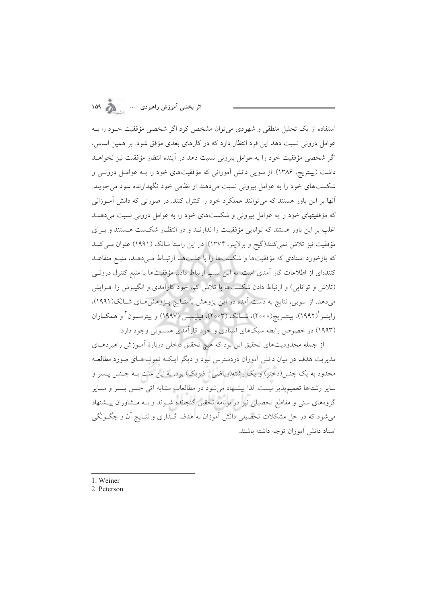اثر بخشی آموزش راهبردی ...

استفاده از یک تحلیل منطقی و شهودی می توان مشخص کرد اگر شخصی مؤفقیت خـود را بـه عوامل درونی نسبت دهد این فرد انتظار دارد که در کارهای بعدی مؤفق شود. بر همین اساس، اگر شخصی مؤفقیت خود را به عوامل بیرونی نسبت دهد در آینده انتظار مؤفقیت نیز نخواهـد داشت (پینتریچ، ۱۳۸۶). از سویی دانش آموزانی که مؤفقیتهای خود را بـه عوامـل درونــی و شکستهای خود را به عوامل بیرونی نسبت میدهند از نظامی خود نگهدارنده سود می جویند. آنها بر این باور هستند که می توانند عملکرد خود را کنترل کنند. در صورتی که دانش آمـوزانی که مؤفقیتهای خود را به عوامل بیرونی و شکستهای خود را به عوامل درونی نسبت میدهنـد اغلب بر این باور هستند که توانایی مؤفقیت را ندارنـد و در انتظـار شکـست هـستند و بـرای مؤفقیت نیز تلاش نمیکنند(گیج و برلاینر، ۱۳۷۴). در این راستا شانک (۱۹۹۱) عنوان میکند که بازخورد اسنادی که مؤفقیتها و شکستها را با علـتهـا ارتبـاط مـی۵هـد، منبـع متقاعـد كنندهاي از اطلاعات كار آمدي است. به اين سبب ارتباط دادن مؤفقيتها با منبع كنترل درونـي (تلاش و توانایی) و ارتباط دادن شکستها با تلاش کم، خود کارآمدی و انگیـزش را افـزایش می دهد. از سویی، نتایج به دست آمده در این پژوهش با نتـایج پــژوهش هـای شــانک(۱۹۹۱)، واينــر (١٩٩٢)، پينتــريج(٢٠٥٥)، شــانک (٢٥٥٣)، فيليــيس (١٩٩٧) و پيترســون ٌ و همکــاران (۱۹۹۳) در خصوص رابطه سبکهای اسنادی و خود کارآمدی همسویی وجود دارد.

از جمله محدودیتهای تحقیق این بود که هیچ تحقیق داخلی دربارهٔ آمـوزش راهبردهـای مدیریت هدف در میان دانش آموزان دردسترس نبود و دیگر اینکـه نمونـههـای مـورد مطالعـه محدود به یک جنس(دختر) و یک رشته(ریاضی– فیزیک) بود. به این علت بـه جـنس پـسر و سایر رشتهها تعمیمپذیر نیست. لذا پیشنهاد میشود در مطالعات مشابه آتی جنس پــسر و ســایر گروههای سنی و مقاطع تحصیلی نیز در برنامه تحقیق گنجانده شـوند و بـه مـشاوران پیـشنهاد میشود که در حل مشکلات تحصیلی دانش آموزان به هدف گـذاری و نتـایج آن و چگـونگی اسناد دانش آموزان توجه داشته باشند.

- 1. Weiner
- 2. Peterson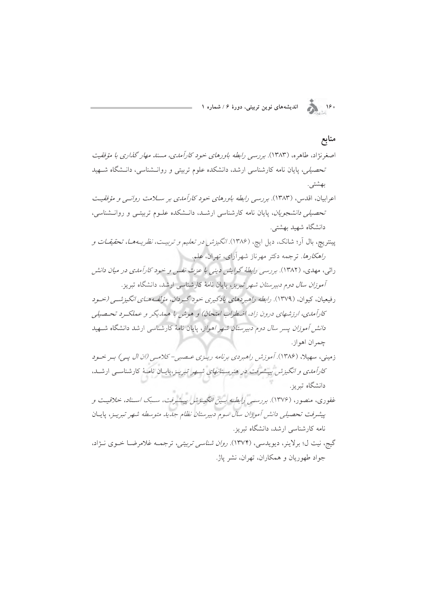.<br>۱۶۰ هجرا السلام الدیشههای نوین تربیتی، دورهٔ ۱۶نشماره ۱<br>۱۶۰ هجرا

| منابع                                                                                             |  |
|---------------------------------------------------------------------------------------------------|--|
| اصغرنژاد، طاهره، (۱۳۸۳). برر <i>سی رابطه باورهای خود کارآمدی، مسند مهار گذاری با مؤفقیت</i>       |  |
| <i>تحصیلی،</i> پایان نامه کارشناسی ارشد، دانشکده علوم تربیتی و روانــشناسی، دانــشگاه شــهید      |  |
| بهشتى.                                                                                            |  |
| اعرابیان، اقدس، (۱۳۸۳). <i>بررسی رابطه باورهای خود کارآمدی بر س</i> لا <i>مت روانسی و مؤفقی</i> ت |  |
| <i>تحصیلی دانشجویان</i> ، پایان نامه کارشناسی ارشــد، دانــشکده علــوم تربیتــی و روانــشناسی،    |  |
| دانشگاه شهید بهشتی.                                                                               |  |
| پینتریچ، بال آر؛ شانک، دیل ایچ، (۱۳۸۶). <i>انگیزش در تعلیم و تربیـت، نظریـههـا، تحقیقـات و</i>    |  |
| ر <i>اهکارها.</i> ترجمه دکتر مهرناز شهرآرای، تهران، علم.                                          |  |
| راثی، مهدی، (۱۳۸۲). بررسی رابطهٔ گرایش دینی با عزت نفس و خود کارآمدی در میان دانش                 |  |
| <i>آموزان سال دوم دبیرستان شهر تبریز</i> ، پایان نامهٔ کارشناس <sub>ی</sub> ارشد، دانشگاه تبریز.  |  |
| رفیعیان، کیوان، (۱۳۷۹). <i>رابطه راهبردهای یادگیری خود گردان، مؤلفههـای انگیزشـی (خـود</i>        |  |
| کارآمدی، ارزشهای درون زاد، اضطراب امتحان) و هوش با همدیگر و عملکرد تحصیلی                         |  |
| <i>دانش آموزان پسر سال دوم دبیرستان شهر اهواز</i> ، پایان نامهٔ کارشناسی ارشد دانشگاه شــهید      |  |
| چمران اهواز.                                                                                      |  |
| زمینی، سهیلا، (۱۳۸۶). آموزش راهبردی برنامه ریازی عصبی-کلاملی (ان ال پلی) بر خلود                  |  |
| <i>کارآمدی و انگیزش پیشرفت در هنرستانهای شـهر تبریـز</i> ،پایـان نامـهٔ کارشناسـی ارشــد،         |  |
| دانشگاه تبریز .                                                                                   |  |
| غفوری، منصور، (۱۳۷۶). برر <i>سمی رابطـه بـین انگیــزش پیــشرفت، سـبک اســناد، خلاقیــت و</i>      |  |
| پیشرفت تحصیلی دانش آموزان سال سوم دبیرستان نظام جدید متوسطه شهر تبریــز، پایــان                  |  |
| نامه کارشناسی ارشد، دانشگاه تبریز.                                                                |  |
| گیج، نیت ل؛ برلاینر، دیویدسی، (۱۳۷۴). <i>روان شناسی تربیتی،</i> ترجمـه غلامرضـا خــوی نــژاد،     |  |
| جواد طهوریان و همکاران، تهران، نشر پاژ.                                                           |  |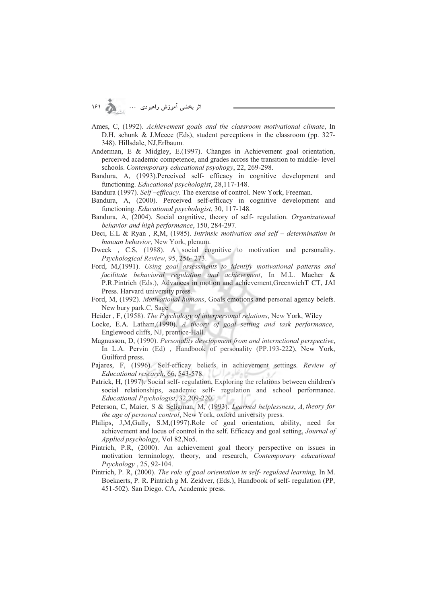**C :DAE F G**

- Ames, C, (1992). *Achievement goals and the classroom motivational climate*, In D.H. schunk & J.Meece (Eds), student perceptions in the classroom (pp. 327- 348). Hillsdale, NJ,Erlbaum.
- Anderman, E & Midgley, E.(1997). Changes in Achievement goal orientation, perceived academic competence, and grades across the transition to middle- level schools. *Contemporary educational psyohogy*, 22, 269-298.
- Bandura, A, (1993).Perceived self- efficacy in cognitive development and functioning. *Educational psychologist*, 28,117-148.
- Bandura (1997). *Self-efficacy*. The exercise of control. New York, Freeman.
- Bandura, A, (2000). Perceived self-efficacy in cognitive development and functioning. *Educational psychologist*, 30, 117-148.
- Bandura, A, (2004). Social cognitive, theory of self- regulation. *Organizational behavior and high performance*, 150, 284-297.
- Deci, E.L & Ryan , R,M, (1985). *Intrinsic motivation and self determination in hunaan behavior*, New York, plenum.
- Dweck , C.S, (1988). A social cognitive to motivation and personality. *Psychological Review*, 95, 256- 273.
- Ford, M,(1991). *Using goal assessments to identify motivational patterns and facilitate behavioral regulation and achievement*, In M.L. Maeher & P.R.Pintrich (Eds.), Advances in motion and achievement,GreenwichT CT, JAI Press. Harvard university press.
- Ford, M, (1992). *Motivational humans*, Goals emotions and personal agency belefs. New bury park.C, Sage
- Heider , F, (1958). *The Psychology of interpersonal relations*, New York, Wiley
- Locke, E.A. Latham,(1990). *A theory of goal setting and task performance*, Englewood cliffs, NJ, prentice-Hall.
- Magnusson, D, (1990). *Personality development from and internctional perspective*, In L.A. Pervin (Ed) , Handbook of personality (PP.193-222), New York, Guilford press.
- Pajares, F, (1996). Self-efficay beliefs in achievement settings. *Review of Educational research*, 66, 543-578.
- Patrick, H, (1997). Social self- regulation, Exploring the relations between children's social relationships, academic self- regulation and school performance. *Educational Psychologist*, 32,209-220.
- Peterson, C, Maier, S & Seligman, M, (1993). *Learned helplessness*, *A, theory for the age of personal control*, New York, oxford university press.
- Philips, J,M,Gully, S.M,(1997).Role of goal orientation, ability, need for achievement and locus of control in the self. Efficacy and goal setting, *Journal of Applied psychology*, Vol 82,No5.
- Pintrich, P.R, (2000). An achievement goal theory perspective on issues in motivation terminology, theory, and research, *Contemporary educational Psychology* , 25, 92-104.
- Pintrich, P. R, (2000). *The role of goal orientation in self- regulaed learning,* In M. Boekaerts, P. R. Pintrich g M. Zeidver, (Eds.), Handbook of self- regulation (PP, 451-502). San Diego. CA, Academic press.